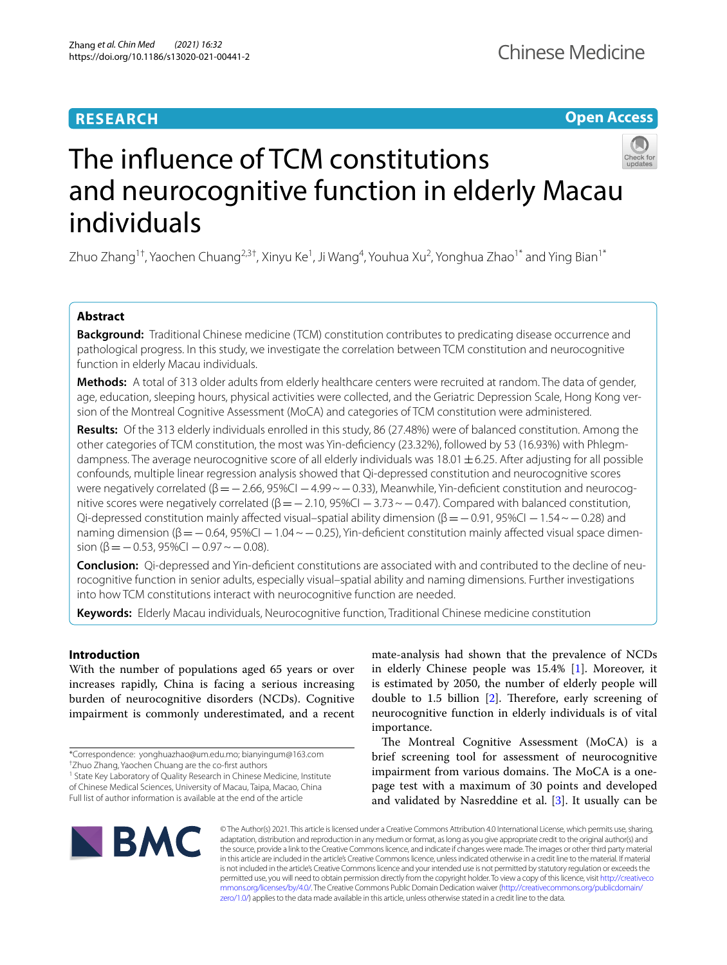# **RESEARCH**

# **Open Access**



# The infuence of TCM constitutions and neurocognitive function in elderly Macau individuals

Zhuo Zhang<sup>1†</sup>, Yaochen Chuang<sup>2,3†</sup>, Xinyu Ke<sup>1</sup>, Ji Wang<sup>4</sup>, Youhua Xu<sup>2</sup>, Yonghua Zhao<sup>1\*</sup> and Ying Bian<sup>1\*</sup>

# **Abstract**

**Background:** Traditional Chinese medicine (TCM) constitution contributes to predicating disease occurrence and pathological progress. In this study, we investigate the correlation between TCM constitution and neurocognitive function in elderly Macau individuals.

**Methods:** A total of 313 older adults from elderly healthcare centers were recruited at random. The data of gender, age, education, sleeping hours, physical activities were collected, and the Geriatric Depression Scale, Hong Kong version of the Montreal Cognitive Assessment (MoCA) and categories of TCM constitution were administered.

**Results:** Of the 313 elderly individuals enrolled in this study, 86 (27.48%) were of balanced constitution. Among the other categories of TCM constitution, the most was Yin-defciency (23.32%), followed by 53 (16.93%) with Phlegmdampness. The average neurocognitive score of all elderly individuals was  $18.01 \pm 6.25$ . After adjusting for all possible confounds, multiple linear regression analysis showed that Qi-depressed constitution and neurocognitive scores were negatively correlated ( $\beta$ = $-2.66$ , 95%CI  $-4.99 \sim$  $-0.33$ ), Meanwhile, Yin-deficient constitution and neurocognitive scores were negatively correlated ( $\beta$ = $-2.10$ , 95%CI  $-3.73 \sim -0.47$ ). Compared with balanced constitution, Qi-depressed constitution mainly affected visual–spatial ability dimension ( $\beta$ =−0.91, 95%CI −1.54 ~−0.28) and naming dimension ( $β = −0.64$ , 95%CI  $−1.04 \sim −0.25$ ), Yin-deficient constitution mainly affected visual space dimension ( $\beta$  = − 0.53, 95%CI − 0.97 ~ − 0.08).

**Conclusion:** Qi-depressed and Yin-defcient constitutions are associated with and contributed to the decline of neurocognitive function in senior adults, especially visual–spatial ability and naming dimensions. Further investigations into how TCM constitutions interact with neurocognitive function are needed.

**Keywords:** Elderly Macau individuals, Neurocognitive function, Traditional Chinese medicine constitution

# **Introduction**

With the number of populations aged 65 years or over increases rapidly, China is facing a serious increasing burden of neurocognitive disorders (NCDs). Cognitive impairment is commonly underestimated, and a recent

† Zhuo Zhang, Yaochen Chuang are the co-frst authors

<sup>1</sup> State Key Laboratory of Quality Research in Chinese Medicine, Institute of Chinese Medical Sciences, University of Macau, Taipa, Macao, China Full list of author information is available at the end of the article

mate-analysis had shown that the prevalence of NCDs in elderly Chinese people was 15.4% [\[1](#page-6-0)]. Moreover, it is estimated by 2050, the number of elderly people will double to  $1.5$  billion  $[2]$  $[2]$ . Therefore, early screening of neurocognitive function in elderly individuals is of vital importance.

The Montreal Cognitive Assessment (MoCA) is a brief screening tool for assessment of neurocognitive impairment from various domains. The MoCA is a onepage test with a maximum of 30 points and developed and validated by Nasreddine et al. [\[3](#page-6-2)]. It usually can be



© The Author(s) 2021. This article is licensed under a Creative Commons Attribution 4.0 International License, which permits use, sharing, adaptation, distribution and reproduction in any medium or format, as long as you give appropriate credit to the original author(s) and the source, provide a link to the Creative Commons licence, and indicate if changes were made. The images or other third party material in this article are included in the article's Creative Commons licence, unless indicated otherwise in a credit line to the material. If material is not included in the article's Creative Commons licence and your intended use is not permitted by statutory regulation or exceeds the permitted use, you will need to obtain permission directly from the copyright holder. To view a copy of this licence, visit [http://creativeco](http://creativecommons.org/licenses/by/4.0/) [mmons.org/licenses/by/4.0/.](http://creativecommons.org/licenses/by/4.0/) The Creative Commons Public Domain Dedication waiver ([http://creativecommons.org/publicdomain/](http://creativecommons.org/publicdomain/zero/1.0/) [zero/1.0/\)](http://creativecommons.org/publicdomain/zero/1.0/) applies to the data made available in this article, unless otherwise stated in a credit line to the data.

<sup>\*</sup>Correspondence: yonghuazhao@um.edu.mo; bianyingum@163.com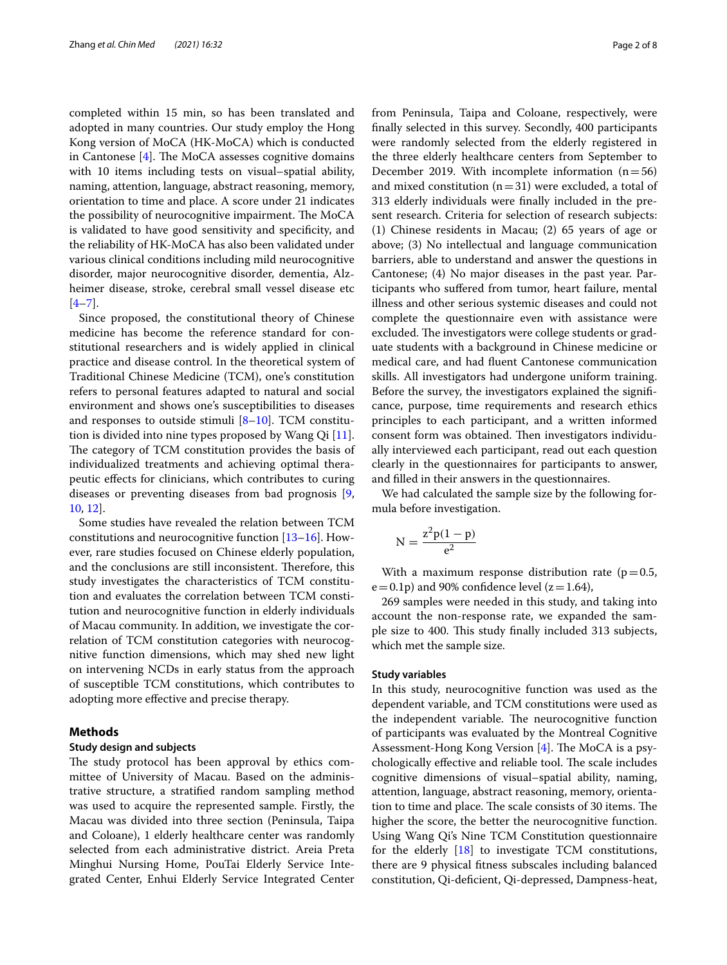completed within 15 min, so has been translated and adopted in many countries. Our study employ the Hong Kong version of MoCA (HK-MoCA) which is conducted in Cantonese  $[4]$ . The MoCA assesses cognitive domains with 10 items including tests on visual–spatial ability, naming, attention, language, abstract reasoning, memory, orientation to time and place. A score under 21 indicates the possibility of neurocognitive impairment. The MoCA is validated to have good sensitivity and specifcity, and the reliability of HK-MoCA has also been validated under various clinical conditions including mild neurocognitive disorder, major neurocognitive disorder, dementia, Alzheimer disease, stroke, cerebral small vessel disease etc  $[4 - 7]$  $[4 - 7]$ .

Since proposed, the constitutional theory of Chinese medicine has become the reference standard for constitutional researchers and is widely applied in clinical practice and disease control. In the theoretical system of Traditional Chinese Medicine (TCM), one's constitution refers to personal features adapted to natural and social environment and shows one's susceptibilities to diseases and responses to outside stimuli [[8–](#page-6-5)[10](#page-6-6)]. TCM constitution is divided into nine types proposed by Wang Qi [\[11](#page-6-7)]. The category of TCM constitution provides the basis of individualized treatments and achieving optimal therapeutic efects for clinicians, which contributes to curing diseases or preventing diseases from bad prognosis [\[9](#page-6-8), [10,](#page-6-6) [12\]](#page-6-9).

Some studies have revealed the relation between TCM constitutions and neurocognitive function [\[13–](#page-6-10)[16\]](#page-6-11). However, rare studies focused on Chinese elderly population, and the conclusions are still inconsistent. Therefore, this study investigates the characteristics of TCM constitution and evaluates the correlation between TCM constitution and neurocognitive function in elderly individuals of Macau community. In addition, we investigate the correlation of TCM constitution categories with neurocognitive function dimensions, which may shed new light on intervening NCDs in early status from the approach of susceptible TCM constitutions, which contributes to adopting more efective and precise therapy.

# **Methods**

#### **Study design and subjects**

The study protocol has been approval by ethics committee of University of Macau. Based on the administrative structure, a stratifed random sampling method was used to acquire the represented sample. Firstly, the Macau was divided into three section (Peninsula, Taipa and Coloane), 1 elderly healthcare center was randomly selected from each administrative district. Areia Preta Minghui Nursing Home, PouTai Elderly Service Integrated Center, Enhui Elderly Service Integrated Center from Peninsula, Taipa and Coloane, respectively, were fnally selected in this survey. Secondly, 400 participants were randomly selected from the elderly registered in the three elderly healthcare centers from September to December 2019. With incomplete information  $(n=56)$ and mixed constitution  $(n=31)$  were excluded, a total of 313 elderly individuals were fnally included in the present research. Criteria for selection of research subjects: (1) Chinese residents in Macau; (2) 65 years of age or above; (3) No intellectual and language communication barriers, able to understand and answer the questions in Cantonese; (4) No major diseases in the past year. Participants who sufered from tumor, heart failure, mental illness and other serious systemic diseases and could not complete the questionnaire even with assistance were excluded. The investigators were college students or graduate students with a background in Chinese medicine or medical care, and had fuent Cantonese communication skills. All investigators had undergone uniform training. Before the survey, the investigators explained the signifcance, purpose, time requirements and research ethics principles to each participant, and a written informed consent form was obtained. Then investigators individually interviewed each participant, read out each question clearly in the questionnaires for participants to answer, and flled in their answers in the questionnaires.

We had calculated the sample size by the following formula before investigation.

$$
N=\frac{z^2p(1-p)}{e^2}\,
$$

With a maximum response distribution rate ( $p=0.5$ ,  $e=0.1p$ ) and 90% confidence level ( $z=1.64$ ),

269 samples were needed in this study, and taking into account the non-response rate, we expanded the sample size to 400. This study finally included 313 subjects, which met the sample size.

#### **Study variables**

In this study, neurocognitive function was used as the dependent variable, and TCM constitutions were used as the independent variable. The neurocognitive function of participants was evaluated by the Montreal Cognitive Assessment-Hong Kong Version  $[4]$  $[4]$ . The MoCA is a psychologically effective and reliable tool. The scale includes cognitive dimensions of visual–spatial ability, naming, attention, language, abstract reasoning, memory, orientation to time and place. The scale consists of 30 items. The higher the score, the better the neurocognitive function. Using Wang Qi's Nine TCM Constitution questionnaire for the elderly [\[18](#page-6-12)] to investigate TCM constitutions, there are 9 physical ftness subscales including balanced constitution, Qi-defcient, Qi-depressed, Dampness-heat,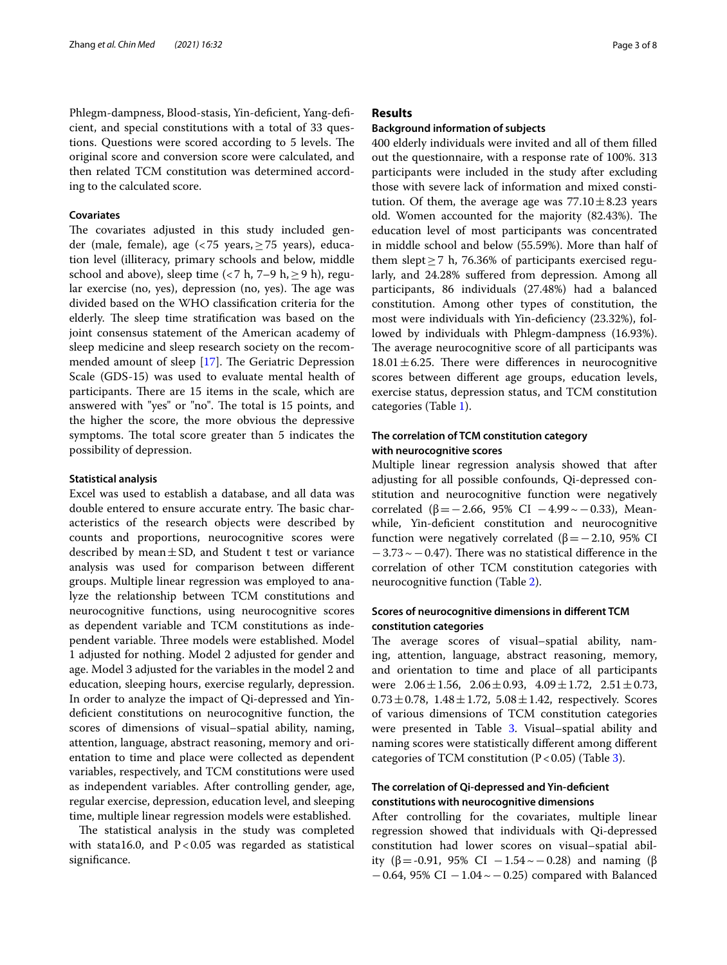Phlegm-dampness, Blood-stasis, Yin-deficient, Yang-deficient, and special constitutions with a total of 33 questions. Questions were scored according to 5 levels. The original score and conversion score were calculated, and then related TCM constitution was determined according to the calculated score.

## **Covariates**

The covariates adjusted in this study included gender (male, female), age (<75 years,≥75 years), education level (illiteracy, primary schools and below, middle school and above), sleep time (<7 h, 7–9 h,  $\ge$  9 h), regular exercise (no, yes), depression (no, yes). The age was divided based on the WHO classifcation criteria for the elderly. The sleep time stratification was based on the joint consensus statement of the American academy of sleep medicine and sleep research society on the recommended amount of sleep  $[17]$  $[17]$ . The Geriatric Depression Scale (GDS-15) was used to evaluate mental health of participants. There are 15 items in the scale, which are answered with "yes" or "no". The total is 15 points, and the higher the score, the more obvious the depressive symptoms. The total score greater than 5 indicates the possibility of depression.

## **Statistical analysis**

Excel was used to establish a database, and all data was double entered to ensure accurate entry. The basic characteristics of the research objects were described by counts and proportions, neurocognitive scores were described by mean $\pm$ SD, and Student t test or variance analysis was used for comparison between diferent groups. Multiple linear regression was employed to analyze the relationship between TCM constitutions and neurocognitive functions, using neurocognitive scores as dependent variable and TCM constitutions as independent variable. Three models were established. Model 1 adjusted for nothing. Model 2 adjusted for gender and age. Model 3 adjusted for the variables in the model 2 and education, sleeping hours, exercise regularly, depression. In order to analyze the impact of Qi-depressed and Yindefcient constitutions on neurocognitive function, the scores of dimensions of visual–spatial ability, naming, attention, language, abstract reasoning, memory and orientation to time and place were collected as dependent variables, respectively, and TCM constitutions were used as independent variables. After controlling gender, age, regular exercise, depression, education level, and sleeping time, multiple linear regression models were established.

The statistical analysis in the study was completed with stata16.0, and  $P < 0.05$  was regarded as statistical significance.

# **Results**

#### **Background information of subjects**

400 elderly individuals were invited and all of them flled out the questionnaire, with a response rate of 100%. 313 participants were included in the study after excluding those with severe lack of information and mixed constitution. Of them, the average age was  $77.10 \pm 8.23$  years old. Women accounted for the majority (82.43%). The education level of most participants was concentrated in middle school and below (55.59%). More than half of them slept  $\geq$  7 h, 76.36% of participants exercised regularly, and 24.28% sufered from depression. Among all participants, 86 individuals (27.48%) had a balanced constitution. Among other types of constitution, the most were individuals with Yin-defciency (23.32%), followed by individuals with Phlegm-dampness (16.93%). The average neurocognitive score of all participants was  $18.01 \pm 6.25$ . There were differences in neurocognitive scores between diferent age groups, education levels, exercise status, depression status, and TCM constitution categories (Table [1](#page-3-0)).

# **The correlation of TCM constitution category with neurocognitive scores**

Multiple linear regression analysis showed that after adjusting for all possible confounds, Qi-depressed constitution and neurocognitive function were negatively correlated (β = −2.66, 95% CI −4.99 ~ −0.33), Meanwhile, Yin-deficient constitution and neurocognitive function were negatively correlated ( $\beta$ =−2.10, 95% CI  $-3.73 \sim -0.47$ ). There was no statistical difference in the correlation of other TCM constitution categories with neurocognitive function (Table [2\)](#page-3-1).

# **Scores of neurocognitive dimensions in diferent TCM constitution categories**

The average scores of visual–spatial ability, naming, attention, language, abstract reasoning, memory, and orientation to time and place of all participants were  $2.06 \pm 1.56$ ,  $2.06 \pm 0.93$ ,  $4.09 \pm 1.72$ ,  $2.51 \pm 0.73$ ,  $0.73 \pm 0.78$ ,  $1.48 \pm 1.72$ ,  $5.08 \pm 1.42$ , respectively. Scores of various dimensions of TCM constitution categories were presented in Table [3.](#page-4-0) Visual–spatial ability and naming scores were statistically diferent among diferent categories of TCM constitution  $(P < 0.05)$  (Table [3\)](#page-4-0).

# **The correlation of Qi‑depressed and Yin‑defcient constitutions with neurocognitive dimensions**

After controlling for the covariates, multiple linear regression showed that individuals with Qi-depressed constitution had lower scores on visual–spatial ability (β = −0.91, 95% CI − 1.54  $\sim$  − 0.28) and naming (β  $-0.64$ , 95% CI  $-1.04 \sim -0.25$ ) compared with Balanced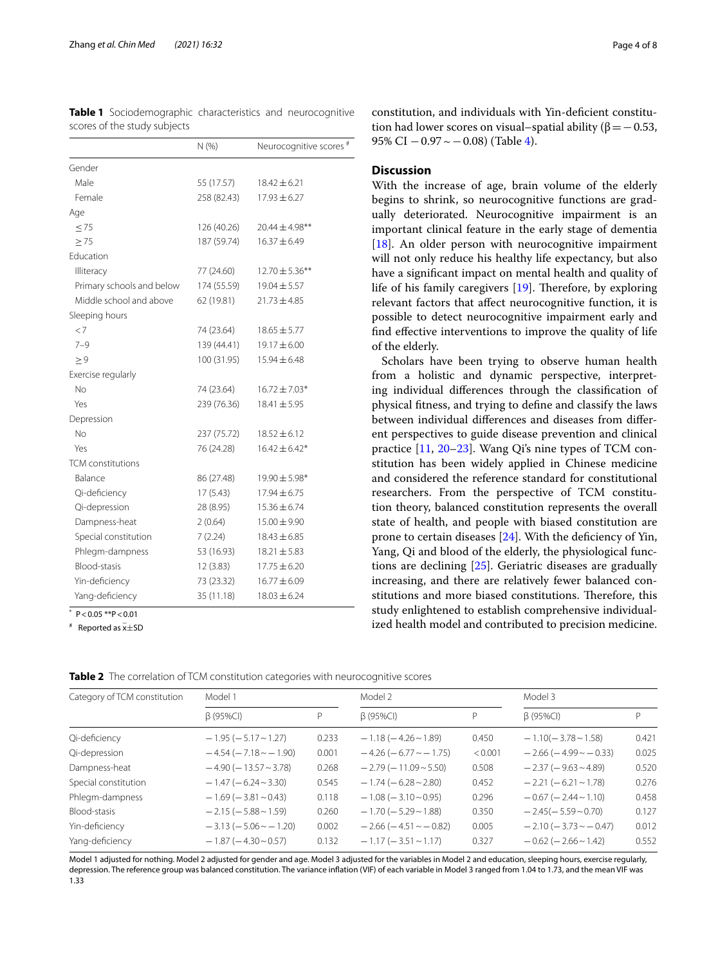|                           | N(%         | Neurocognitive scores <sup>#</sup> |
|---------------------------|-------------|------------------------------------|
| Gender                    |             |                                    |
| Male                      | 55 (17.57)  | $18.42 \pm 6.21$                   |
| Female                    | 258 (82.43) | $17.93 \pm 6.27$                   |
| Age                       |             |                                    |
| $\leq 75$                 | 126 (40.26) | $20.44 \pm 4.98$ **                |
| > 75                      | 187 (59.74) | $16.37 \pm 6.49$                   |
| Education                 |             |                                    |
| Illiteracy                | 77 (24.60)  | $12.70 \pm 5.36***$                |
| Primary schools and below | 174 (55.59) | $19.04 \pm 5.57$                   |
| Middle school and above   | 62 (19.81)  | $21.73 \pm 4.85$                   |
| Sleeping hours            |             |                                    |
| $\lt$ 7                   | 74 (23.64)  | $18.65 \pm 5.77$                   |
| $7 - 9$                   | 139 (44.41) | 19.17 ± 6.00                       |
| $\geq 9$                  | 100 (31.95) | $15.94 \pm 6.48$                   |
| Exercise regularly        |             |                                    |
| No                        | 74 (23.64)  | $16.72 \pm 7.03*$                  |
| Yes                       | 239 (76.36) | $18.41 \pm 5.95$                   |
| Depression                |             |                                    |
| No                        | 237 (75.72) | $18.52 \pm 6.12$                   |
| Yes                       | 76 (24.28)  | $16.42 \pm 6.42*$                  |
| <b>TCM</b> constitutions  |             |                                    |
| Balance                   | 86 (27.48)  | 19.90 ± 5.98*                      |
| Qi-deficiency             | 17(5.43)    | $17.94 \pm 6.75$                   |
| Qi-depression             | 28 (8.95)   | $15.36 \pm 6.74$                   |
| Dampness-heat             | 2(0.64)     | 15.00 ± 9.90                       |
| Special constitution      | 7(2.24)     | $18.43 \pm 6.85$                   |
| Phlegm-dampness           | 53 (16.93)  | $18.21 \pm 5.83$                   |
| Blood-stasis              | 12(3.83)    | $17.75 \pm 6.20$                   |
| Yin-deficiency            | 73 (23.32)  | $16.77 \pm 6.09$                   |
| Yang-deficiency           | 35 (11.18)  | $18.03 \pm 6.24$                   |
|                           |             |                                    |

<span id="page-3-0"></span>

|  |                              |  | Table 1 Sociodemographic characteristics and neurocognitive |
|--|------------------------------|--|-------------------------------------------------------------|
|  | scores of the study subjects |  |                                                             |

 $P < 0.05$  \*\* $P < 0.01$ 

# Reported as  $\bar{x}$ ±SD

constitution, and individuals with Yin-deficient constitution had lower scores on visual–spatial ability ( $β = 0.53$ , 95% CI  $-0.97 \sim -0.08$ ) (Table [4\)](#page-4-1).

## **Discussion**

With the increase of age, brain volume of the elderly begins to shrink, so neurocognitive functions are gradually deteriorated. Neurocognitive impairment is an important clinical feature in the early stage of dementia [[18\]](#page-6-12). An older person with neurocognitive impairment will not only reduce his healthy life expectancy, but also have a signifcant impact on mental health and quality of life of his family caregivers  $[19]$  $[19]$ . Therefore, by exploring relevant factors that afect neurocognitive function, it is possible to detect neurocognitive impairment early and fnd efective interventions to improve the quality of life of the elderly.

Scholars have been trying to observe human health from a holistic and dynamic perspective, interpreting individual diferences through the classifcation of physical ftness, and trying to defne and classify the laws between individual diferences and diseases from diferent perspectives to guide disease prevention and clinical practice [[11](#page-6-7), [20–](#page-6-15)[23](#page-7-0)]. Wang Qi's nine types of TCM constitution has been widely applied in Chinese medicine and considered the reference standard for constitutional researchers. From the perspective of TCM constitution theory, balanced constitution represents the overall state of health, and people with biased constitution are prone to certain diseases  $[24]$  $[24]$ . With the deficiency of Yin, Yang, Qi and blood of the elderly, the physiological functions are declining [[25\]](#page-7-2). Geriatric diseases are gradually increasing, and there are relatively fewer balanced constitutions and more biased constitutions. Therefore, this study enlightened to establish comprehensive individualized health model and contributed to precision medicine.

<span id="page-3-1"></span>**Table 2** The correlation of TCM constitution categories with neurocognitive scores

| Category of TCM constitution | Model 1                            |       | Model 2                            |         | Model 3                            |       |
|------------------------------|------------------------------------|-------|------------------------------------|---------|------------------------------------|-------|
|                              | $\beta$ (95%CI)                    | P     | $\beta$ (95%CI)                    | P       | $\beta$ (95%CI)                    | P     |
| Qi-deficiency                | $-1.95$ ( $-5.17 \sim 1.27$ )      | 0.233 | $-1.18$ ( $-4.26 \sim 1.89$ )      | 0.450   | $-1.10(-3.78 \sim 1.58)$           | 0.421 |
| Qi-depression                | $-4.54$ ( $-7.18$ $\sim$ $-1.90$ ) | 0.001 | $-4.26$ ( $-6.77 \sim -1.75$ )     | < 0.001 | $-2.66$ ( $-4.99$ $\sim$ $-0.33$ ) | 0.025 |
| Dampness-heat                | $-4.90$ ( $-13.57 \sim 3.78$ )     | 0.268 | $-2.79(-11.09 - 5.50)$             | 0.508   | $-2.37(-9.63 \sim 4.89)$           | 0.520 |
| Special constitution         | $-1.47(-6.24 \sim 3.30)$           | 0.545 | $-1.74(-6.28 \sim 2.80)$           | 0.452   | $-2.21(-6.21 \approx 1.78)$        | 0.276 |
| Phlegm-dampness              | $-1.69$ ( $-3.81$ $\sim$ 0.43)     | 0.118 | $-1.08$ ( $-3.10$ $\sim$ 0.95)     | 0.296   | $-0.67$ ( $-2.44$ $\sim$ 1.10)     | 0.458 |
| Blood-stasis                 | $-2.15$ ( $-5.88 \sim 1.59$ )      | 0.260 | $-1.70$ ( $-5.29$ $\sim$ 1.88)     | 0.350   | $-2.45(-5.59-0.70)$                | 0.127 |
| Yin-deficiency               | $-3.13(-5.06 \sim -1.20)$          | 0.002 | $-2.66$ ( $-4.51$ $\sim$ $-0.82$ ) | 0.005   | $-2.10(-3.73 \sim -0.47)$          | 0.012 |
| Yang-deficiency              | $-1.87(-4.30 \sim 0.57)$           | 0.132 | $-1.17$ ( $-3.51$ $\sim$ 1.17)     | 0.327   | $-0.62$ ( $-2.66$ $\sim$ 1.42)     | 0.552 |

Model 1 adjusted for nothing. Model 2 adjusted for gender and age. Model 3 adjusted for the variables in Model 2 and education, sleeping hours, exercise regularly, depression. The reference group was balanced constitution. The variance infation (VIF) of each variable in Model 3 ranged from 1.04 to 1.73, and the mean VIF was 1.33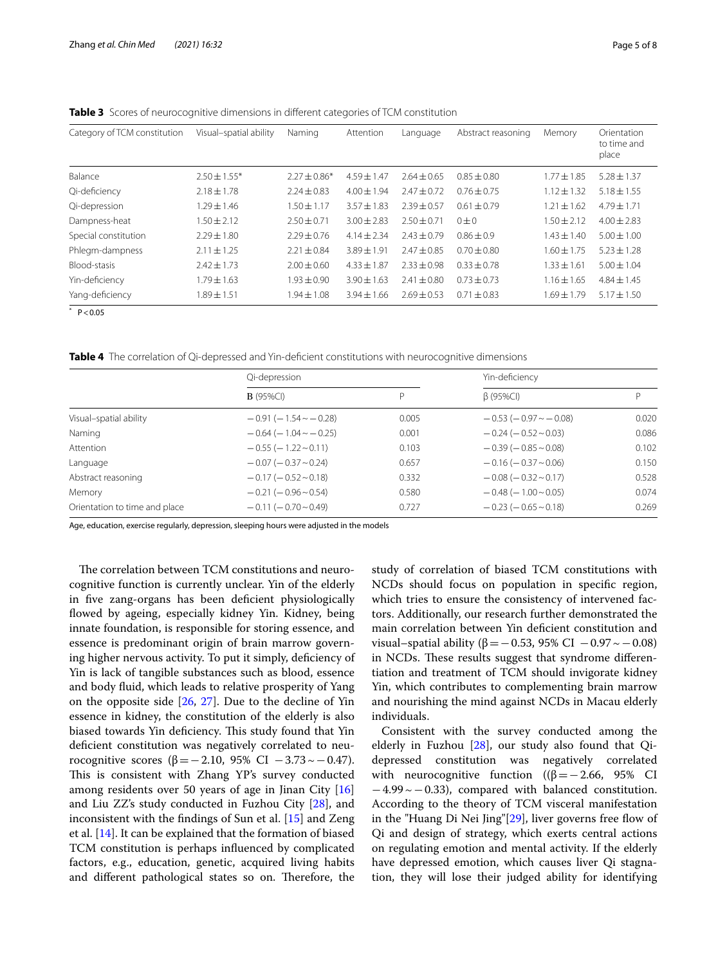| Category of TCM constitution | Visual-spatial ability | Naming          | Attention       | Language      | Abstract reasoning | Memory          | Orientation<br>to time and<br>place |
|------------------------------|------------------------|-----------------|-----------------|---------------|--------------------|-----------------|-------------------------------------|
| Balance                      | $2.50 \pm 1.55*$       | $2.27 + 0.86*$  | $4.59 + 1.47$   | $2.64 + 0.65$ | $0.85 + 0.80$      | $1.77 \pm 1.85$ | $5.28 + 1.37$                       |
| Qi-deficiency                | $2.18 \pm 1.78$        | $2.24 \pm 0.83$ | $4.00 \pm 1.94$ | $7.47 + 0.72$ | $0.76 \pm 0.75$    | $1.12 \pm 1.32$ | $5.18 \pm 1.55$                     |
| Qi-depression                | $1.29 + 1.46$          | $1.50 \pm 1.17$ | $3.57 + 1.83$   | $2.39 + 0.57$ | $0.61 \pm 0.79$    | $1.21 \pm 1.62$ | $4.79 + 1.71$                       |
| Dampness-heat                | $.50 + 2.12$           | $2.50 + 0.71$   | $3.00 + 2.83$   | $2.50 + 0.71$ | $0+0$              | $1.50 + 2.12$   | $4.00 + 2.83$                       |
| Special constitution         | $7.29 + 1.80$          | $2.29 + 0.76$   | $4.14 + 2.34$   | $7.43 + 0.79$ | $0.86 + 0.9$       | $.43 + 1.40$    | $5.00 \pm 1.00$                     |
| Phlegm-dampness              | $2.11 \pm 1.25$        | $2.21 \pm 0.84$ | $3.89 + 1.91$   | $2.47 + 0.85$ | $0.70 \pm 0.80$    | $1.60 + 1.75$   | $5.23 \pm 1.28$                     |
| Blood-stasis                 | $7.47 + 1.73$          | $2.00 + 0.60$   | $4.33 + 1.87$   | $2.33 + 0.98$ | $0.33 + 0.78$      | $1.33 + 1.61$   | $5.00 \pm 1.04$                     |
| Yin-deficiency               | $.79 + 1.63$           | $1.93 + 0.90$   | $3.90 \pm 1.63$ | $2.41 + 0.80$ | $0.73 + 0.73$      | $1.16 \pm 1.65$ | $4.84 \pm 1.45$                     |
| Yang-deficiency              | $1.89 \pm 1.51$        | $1.94 \pm 1.08$ | $3.94 \pm 1.66$ | $2.69 + 0.53$ | $0.71 \pm 0.83$    | $1.69 \pm 1.79$ | $5.17 \pm 1.50$                     |

<span id="page-4-0"></span>**Table 3** Scores of neurocognitive dimensions in different categories of TCM constitution

 $*$  P < 0.05

<span id="page-4-1"></span>**Table 4** The correlation of Qi-depressed and Yin-defcient constitutions with neurocognitive dimensions

|                               | Qi-depression                      |       | Yin-deficiency                     |       |  |
|-------------------------------|------------------------------------|-------|------------------------------------|-------|--|
|                               | $B(95\%CI)$                        | P     | $\beta$ (95%CI)                    | D     |  |
| Visual-spatial ability        | $-0.91(-1.54 \sim -0.28)$          | 0.005 | $-0.53$ ( $-0.97$ $\sim$ $-0.08$ ) | 0.020 |  |
| Naming                        | $-0.64$ ( $-1.04$ $\sim$ $-0.25$ ) | 0.001 | $-0.24(-0.52\sim 0.03)$            | 0.086 |  |
| Attention                     | $-0.55$ ( $-1.22$ $\sim$ 0.11)     | 0.103 | $-0.39(-0.85 \sim 0.08)$           | 0.102 |  |
| Language                      | $-0.07$ ( $-0.37$ $\sim$ 0.24)     | 0.657 | $-0.16$ ( $-0.37$ $\sim$ 0.06)     | 0.150 |  |
| Abstract reasoning            | $-0.17(-0.52\sim0.18)$             | 0.332 | $-0.08$ ( $-0.32$ $\sim$ 0.17)     | 0.528 |  |
| Memory                        | $-0.21(-0.96 \sim 0.54)$           | 0.580 | $-0.48$ ( $-1.00$ $\sim$ 0.05)     | 0.074 |  |
| Orientation to time and place | $-0.11(-0.70-0.49)$                | 0.727 | $-0.23$ ( $-0.65 \sim 0.18$ )      | 0.269 |  |

Age, education, exercise regularly, depression, sleeping hours were adjusted in the models

The correlation between TCM constitutions and neurocognitive function is currently unclear. Yin of the elderly in five zang-organs has been deficient physiologically fowed by ageing, especially kidney Yin. Kidney, being innate foundation, is responsible for storing essence, and essence is predominant origin of brain marrow governing higher nervous activity. To put it simply, deficiency of Yin is lack of tangible substances such as blood, essence and body fuid, which leads to relative prosperity of Yang on the opposite side [[26,](#page-7-3) [27](#page-7-4)]. Due to the decline of Yin essence in kidney, the constitution of the elderly is also biased towards Yin deficiency. This study found that Yin deficient constitution was negatively correlated to neurocognitive scores (β = −2.10, 95% CI − 3.73  $\sim$  − 0.47). This is consistent with Zhang YP's survey conducted among residents over 50 years of age in Jinan City  $[16]$  $[16]$  $[16]$ and Liu ZZ's study conducted in Fuzhou City [\[28](#page-7-5)], and inconsistent with the fndings of Sun et al. [[15\]](#page-6-16) and Zeng et al. [\[14](#page-6-17)]. It can be explained that the formation of biased TCM constitution is perhaps infuenced by complicated factors, e.g., education, genetic, acquired living habits and different pathological states so on. Therefore, the study of correlation of biased TCM constitutions with NCDs should focus on population in specifc region, which tries to ensure the consistency of intervened factors. Additionally, our research further demonstrated the main correlation between Yin defcient constitution and visual–spatial ability (β = −0.53, 95% CI −0.97  $\sim$  −0.08) in NCDs. These results suggest that syndrome differentiation and treatment of TCM should invigorate kidney Yin, which contributes to complementing brain marrow and nourishing the mind against NCDs in Macau elderly individuals.

Consistent with the survey conducted among the elderly in Fuzhou  $[28]$  $[28]$ , our study also found that Qidepressed constitution was negatively correlated with neurocognitive function ( $(\beta = -2.66, 95\%$  CI −4.99~−0.33), compared with balanced constitution. According to the theory of TCM visceral manifestation in the "Huang Di Nei Jing"[[29](#page-7-6)], liver governs free flow of Qi and design of strategy, which exerts central actions on regulating emotion and mental activity. If the elderly have depressed emotion, which causes liver Qi stagnation, they will lose their judged ability for identifying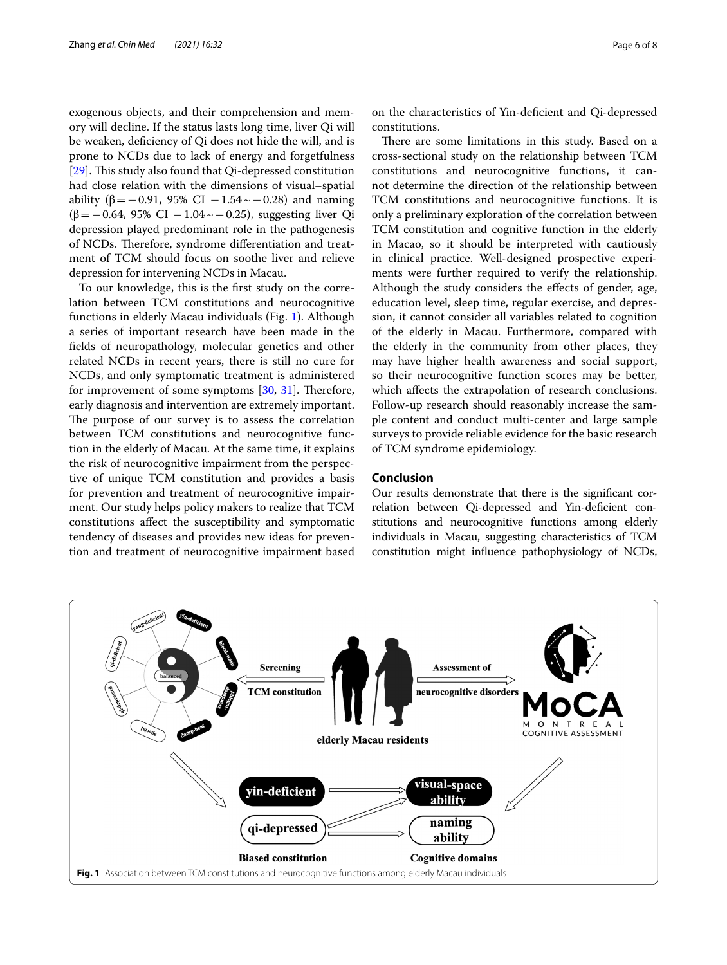exogenous objects, and their comprehension and memory will decline. If the status lasts long time, liver Qi will be weaken, defciency of Qi does not hide the will, and is prone to NCDs due to lack of energy and forgetfulness [[29\]](#page-7-6). This study also found that Qi-depressed constitution had close relation with the dimensions of visual–spatial ability ( $β = -0.91$ , 95% CI  $-1.54 \sim -0.28$ ) and naming (β=−0.64, 95% CI −1.04~−0.25), suggesting liver Qi depression played predominant role in the pathogenesis of NCDs. Therefore, syndrome differentiation and treatment of TCM should focus on soothe liver and relieve depression for intervening NCDs in Macau.

To our knowledge, this is the frst study on the correlation between TCM constitutions and neurocognitive functions in elderly Macau individuals (Fig. [1\)](#page-5-0). Although a series of important research have been made in the felds of neuropathology, molecular genetics and other related NCDs in recent years, there is still no cure for NCDs, and only symptomatic treatment is administered for improvement of some symptoms  $[30, 31]$  $[30, 31]$  $[30, 31]$  $[30, 31]$ . Therefore, early diagnosis and intervention are extremely important. The purpose of our survey is to assess the correlation between TCM constitutions and neurocognitive function in the elderly of Macau. At the same time, it explains the risk of neurocognitive impairment from the perspective of unique TCM constitution and provides a basis for prevention and treatment of neurocognitive impairment. Our study helps policy makers to realize that TCM constitutions afect the susceptibility and symptomatic tendency of diseases and provides new ideas for prevention and treatment of neurocognitive impairment based

on the characteristics of Yin-defcient and Qi-depressed constitutions.

There are some limitations in this study. Based on a cross-sectional study on the relationship between TCM constitutions and neurocognitive functions, it cannot determine the direction of the relationship between TCM constitutions and neurocognitive functions. It is only a preliminary exploration of the correlation between TCM constitution and cognitive function in the elderly in Macao, so it should be interpreted with cautiously in clinical practice. Well-designed prospective experiments were further required to verify the relationship. Although the study considers the efects of gender, age, education level, sleep time, regular exercise, and depression, it cannot consider all variables related to cognition of the elderly in Macau. Furthermore, compared with the elderly in the community from other places, they may have higher health awareness and social support, so their neurocognitive function scores may be better, which afects the extrapolation of research conclusions. Follow-up research should reasonably increase the sample content and conduct multi-center and large sample surveys to provide reliable evidence for the basic research of TCM syndrome epidemiology.

# **Conclusion**

Our results demonstrate that there is the signifcant correlation between Qi-depressed and Yin-defcient constitutions and neurocognitive functions among elderly individuals in Macau, suggesting characteristics of TCM constitution might infuence pathophysiology of NCDs,

<span id="page-5-0"></span>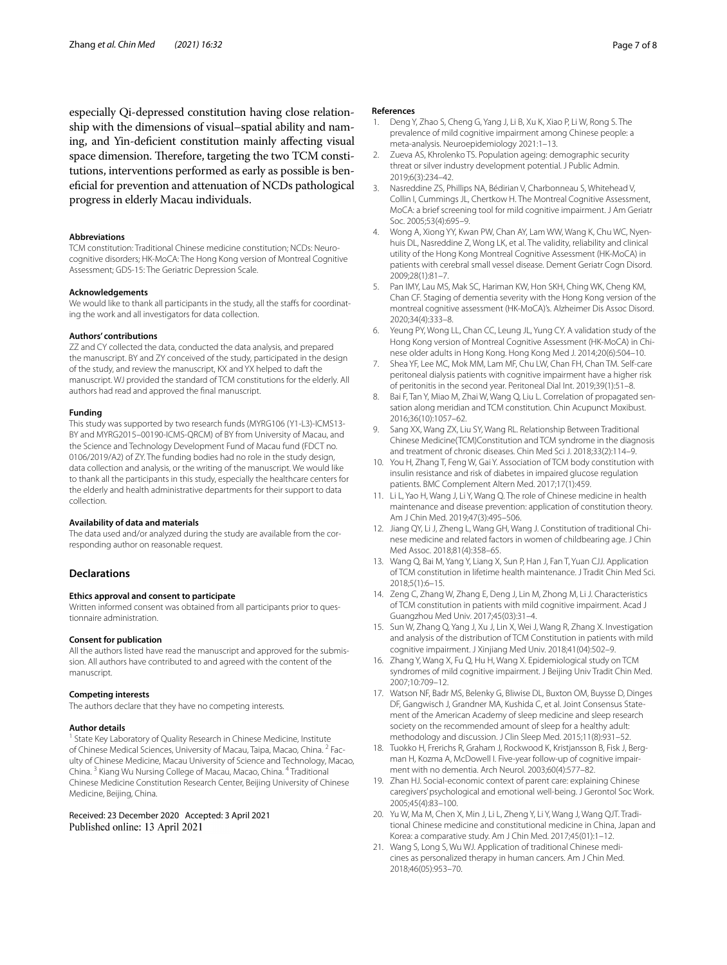especially Qi-depressed constitution having close relationship with the dimensions of visual–spatial ability and naming, and Yin-defcient constitution mainly afecting visual space dimension. Therefore, targeting the two TCM constitutions, interventions performed as early as possible is benefcial for prevention and attenuation of NCDs pathological progress in elderly Macau individuals.

#### **Abbreviations**

TCM constitution: Traditional Chinese medicine constitution; NCDs: Neurocognitive disorders; HK-MoCA: The Hong Kong version of Montreal Cognitive Assessment; GDS-15: The Geriatric Depression Scale.

#### **Acknowledgements**

We would like to thank all participants in the study, all the staffs for coordinating the work and all investigators for data collection.

#### **Authors' contributions**

ZZ and CY collected the data, conducted the data analysis, and prepared the manuscript. BY and ZY conceived of the study, participated in the design of the study, and review the manuscript, KX and YX helped to daft the manuscript. WJ provided the standard of TCM constitutions for the elderly. All authors had read and approved the fnal manuscript.

#### **Funding**

This study was supported by two research funds (MYRG106 (Y1-L3)-ICMS13- BY and MYRG2015–00190-ICMS-QRCM) of BY from University of Macau, and the Science and Technology Development Fund of Macau fund (FDCT no. 0106/2019/A2) of ZY. The funding bodies had no role in the study design, data collection and analysis, or the writing of the manuscript. We would like to thank all the participants in this study, especially the healthcare centers for the elderly and health administrative departments for their support to data collection.

#### **Availability of data and materials**

The data used and/or analyzed during the study are available from the corresponding author on reasonable request.

#### **Declarations**

#### **Ethics approval and consent to participate**

Written informed consent was obtained from all participants prior to questionnaire administration.

#### **Consent for publication**

All the authors listed have read the manuscript and approved for the submission. All authors have contributed to and agreed with the content of the manuscript.

#### **Competing interests**

The authors declare that they have no competing interests.

#### **Author details**

<sup>1</sup> State Key Laboratory of Quality Research in Chinese Medicine, Institute of Chinese Medical Sciences, University of Macau, Taipa, Macao, China. <sup>2</sup> Faculty of Chinese Medicine, Macau University of Science and Technology, Macao, China. 3 Kiang Wu Nursing College of Macau, Macao, China. 4 Traditional Chinese Medicine Constitution Research Center, Beijing University of Chinese Medicine, Beijing, China.

Received: 23 December 2020 Accepted: 3 April 2021 Published online: 13 April 2021

#### **References**

- <span id="page-6-0"></span>1. Deng Y, Zhao S, Cheng G, Yang J, Li B, Xu K, Xiao P, Li W, Rong S. The prevalence of mild cognitive impairment among Chinese people: a meta-analysis. Neuroepidemiology 2021:1–13.
- <span id="page-6-1"></span>2. Zueva AS, Khrolenko TS. Population ageing: demographic security threat or silver industry development potential. J Public Admin. 2019;6(3):234–42.
- <span id="page-6-2"></span>3. Nasreddine ZS, Phillips NA, Bédirian V, Charbonneau S, Whitehead V, Collin I, Cummings JL, Chertkow H. The Montreal Cognitive Assessment, MoCA: a brief screening tool for mild cognitive impairment. J Am Geriatr Soc. 2005;53(4):695–9.
- <span id="page-6-3"></span>4. Wong A, Xiong YY, Kwan PW, Chan AY, Lam WW, Wang K, Chu WC, Nyenhuis DL, Nasreddine Z, Wong LK, et al. The validity, reliability and clinical utility of the Hong Kong Montreal Cognitive Assessment (HK-MoCA) in patients with cerebral small vessel disease. Dement Geriatr Cogn Disord. 2009;28(1):81–7.
- 5. Pan IMY, Lau MS, Mak SC, Hariman KW, Hon SKH, Ching WK, Cheng KM, Chan CF. Staging of dementia severity with the Hong Kong version of the montreal cognitive assessment (HK-MoCA)'s. Alzheimer Dis Assoc Disord. 2020;34(4):333–8.
- Yeung PY, Wong LL, Chan CC, Leung JL, Yung CY. A validation study of the Hong Kong version of Montreal Cognitive Assessment (HK-MoCA) in Chinese older adults in Hong Kong. Hong Kong Med J. 2014;20(6):504–10.
- <span id="page-6-4"></span>7. Shea YF, Lee MC, Mok MM, Lam MF, Chu LW, Chan FH, Chan TM. Self-care peritoneal dialysis patients with cognitive impairment have a higher risk of peritonitis in the second year. Peritoneal Dial Int. 2019;39(1):51–8.
- <span id="page-6-5"></span>8. Bai F, Tan Y, Miao M, Zhai W, Wang Q, Liu L. Correlation of propagated sensation along meridian and TCM constitution. Chin Acupunct Moxibust. 2016;36(10):1057–62.
- <span id="page-6-8"></span>9. Sang XX, Wang ZX, Liu SY, Wang RL. Relationship Between Traditional Chinese Medicine(TCM)Constitution and TCM syndrome in the diagnosis and treatment of chronic diseases. Chin Med Sci J. 2018;33(2):114–9.
- <span id="page-6-6"></span>10. You H, Zhang T, Feng W, Gai Y. Association of TCM body constitution with insulin resistance and risk of diabetes in impaired glucose regulation patients. BMC Complement Altern Med. 2017;17(1):459.
- <span id="page-6-7"></span>11. Li L, Yao H, Wang J, Li Y, Wang Q. The role of Chinese medicine in health maintenance and disease prevention: application of constitution theory. Am J Chin Med. 2019;47(3):495–506.
- <span id="page-6-9"></span>12. Jiang QY, Li J, Zheng L, Wang GH, Wang J. Constitution of traditional Chinese medicine and related factors in women of childbearing age. J Chin Med Assoc. 2018;81(4):358–65.
- <span id="page-6-10"></span>13. Wang Q, Bai M, Yang Y, Liang X, Sun P, Han J, Fan T, Yuan CJJ. Application of TCM constitution in lifetime health maintenance. J Tradit Chin Med Sci. 2018;5(1):6–15.
- <span id="page-6-17"></span>14. Zeng C, Zhang W, Zhang E, Deng J, Lin M, Zhong M, Li J. Characteristics of TCM constitution in patients with mild cognitive impairment. Acad J Guangzhou Med Univ. 2017;45(03):31–4.
- <span id="page-6-16"></span>15. Sun W, Zhang Q, Yang J, Xu J, Lin X, Wei J, Wang R, Zhang X. Investigation and analysis of the distribution of TCM Constitution in patients with mild cognitive impairment. J Xinjiang Med Univ. 2018;41(04):502–9.
- <span id="page-6-11"></span>16. Zhang Y, Wang X, Fu Q, Hu H, Wang X. Epidemiological study on TCM syndromes of mild cognitive impairment. J Beijing Univ Tradit Chin Med. 2007;10:709–12.
- <span id="page-6-13"></span>17. Watson NF, Badr MS, Belenky G, Bliwise DL, Buxton OM, Buysse D, Dinges DF, Gangwisch J, Grandner MA, Kushida C, et al. Joint Consensus Statement of the American Academy of sleep medicine and sleep research society on the recommended amount of sleep for a healthy adult: methodology and discussion. J Clin Sleep Med. 2015;11(8):931–52.
- <span id="page-6-12"></span>18. Tuokko H, Frerichs R, Graham J, Rockwood K, Kristjansson B, Fisk J, Bergman H, Kozma A, McDowell I. Five-year follow-up of cognitive impairment with no dementia. Arch Neurol. 2003;60(4):577–82.
- <span id="page-6-14"></span>19. Zhan HJ. Social-economic context of parent care: explaining Chinese caregivers' psychological and emotional well-being. J Gerontol Soc Work. 2005;45(4):83–100.
- <span id="page-6-15"></span>20. Yu W, Ma M, Chen X, Min J, Li L, Zheng Y, Li Y, Wang J, Wang QJT. Traditional Chinese medicine and constitutional medicine in China, Japan and Korea: a comparative study. Am J Chin Med. 2017;45(01):1–12.
- 21. Wang S, Long S, Wu WJ. Application of traditional Chinese medicines as personalized therapy in human cancers. Am J Chin Med. 2018;46(05):953–70.